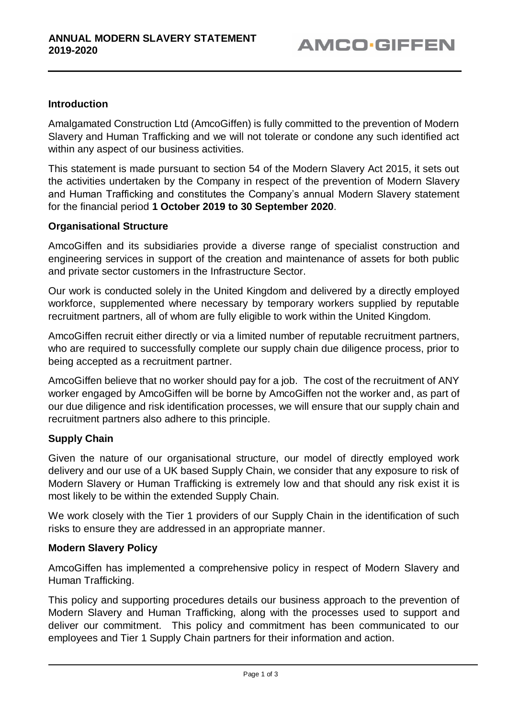## **Introduction**

Amalgamated Construction Ltd (AmcoGiffen) is fully committed to the prevention of Modern Slavery and Human Trafficking and we will not tolerate or condone any such identified act within any aspect of our business activities.

This statement is made pursuant to section 54 of the Modern Slavery Act 2015, it sets out the activities undertaken by the Company in respect of the prevention of Modern Slavery and Human Trafficking and constitutes the Company's annual Modern Slavery statement for the financial period **1 October 2019 to 30 September 2020**.

#### **Organisational Structure**

AmcoGiffen and its subsidiaries provide a diverse range of specialist construction and engineering services in support of the creation and maintenance of assets for both public and private sector customers in the Infrastructure Sector.

Our work is conducted solely in the United Kingdom and delivered by a directly employed workforce, supplemented where necessary by temporary workers supplied by reputable recruitment partners, all of whom are fully eligible to work within the United Kingdom.

AmcoGiffen recruit either directly or via a limited number of reputable recruitment partners, who are required to successfully complete our supply chain due diligence process, prior to being accepted as a recruitment partner.

AmcoGiffen believe that no worker should pay for a job. The cost of the recruitment of ANY worker engaged by AmcoGiffen will be borne by AmcoGiffen not the worker and, as part of our due diligence and risk identification processes, we will ensure that our supply chain and recruitment partners also adhere to this principle.

#### **Supply Chain**

Given the nature of our organisational structure, our model of directly employed work delivery and our use of a UK based Supply Chain, we consider that any exposure to risk of Modern Slavery or Human Trafficking is extremely low and that should any risk exist it is most likely to be within the extended Supply Chain.

We work closely with the Tier 1 providers of our Supply Chain in the identification of such risks to ensure they are addressed in an appropriate manner.

#### **Modern Slavery Policy**

AmcoGiffen has implemented a comprehensive policy in respect of Modern Slavery and Human Trafficking.

This policy and supporting procedures details our business approach to the prevention of Modern Slavery and Human Trafficking, along with the processes used to support and deliver our commitment. This policy and commitment has been communicated to our employees and Tier 1 Supply Chain partners for their information and action.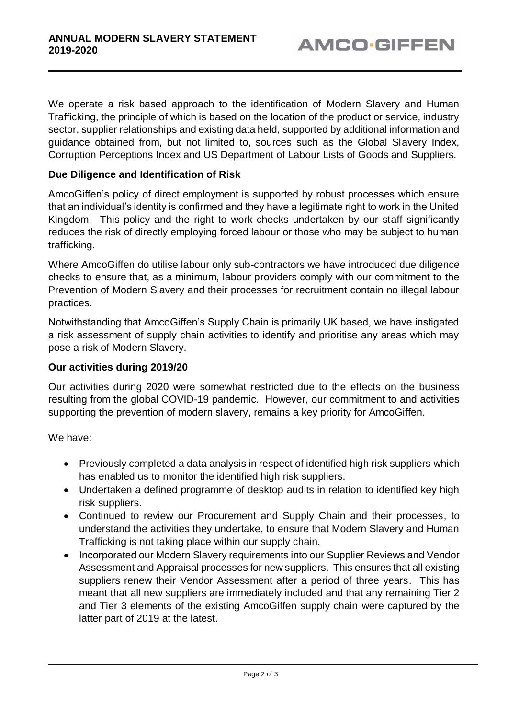We operate a risk based approach to the identification of Modern Slavery and Human Trafficking, the principle of which is based on the location of the product or service, industry sector, supplier relationships and existing data held, supported by additional information and guidance obtained from, but not limited to, sources such as the Global Slavery Index, Corruption Perceptions Index and US Department of Labour Lists of Goods and Suppliers.

#### **Due Diligence and Identification of Risk**

AmcoGiffen's policy of direct employment is supported by robust processes which ensure that an individual's identity is confirmed and they have a legitimate right to work in the United Kingdom. This policy and the right to work checks undertaken by our staff significantly reduces the risk of directly employing forced labour or those who may be subject to human trafficking.

Where AmcoGiffen do utilise labour only sub-contractors we have introduced due diligence checks to ensure that, as a minimum, labour providers comply with our commitment to the Prevention of Modern Slavery and their processes for recruitment contain no illegal labour practices.

Notwithstanding that AmcoGiffen's Supply Chain is primarily UK based, we have instigated a risk assessment of supply chain activities to identify and prioritise any areas which may pose a risk of Modern Slavery.

# **Our activities during 2019/20**

Our activities during 2020 were somewhat restricted due to the effects on the business resulting from the global COVID-19 pandemic. However, our commitment to and activities supporting the prevention of modern slavery, remains a key priority for AmcoGiffen.

We have:

- Previously completed a data analysis in respect of identified high risk suppliers which has enabled us to monitor the identified high risk suppliers.
- Undertaken a defined programme of desktop audits in relation to identified key high risk suppliers.
- Continued to review our Procurement and Supply Chain and their processes, to understand the activities they undertake, to ensure that Modern Slavery and Human Trafficking is not taking place within our supply chain.
- Incorporated our Modern Slavery requirements into our Supplier Reviews and Vendor Assessment and Appraisal processes for new suppliers. This ensures that all existing suppliers renew their Vendor Assessment after a period of three years. This has meant that all new suppliers are immediately included and that any remaining Tier 2 and Tier 3 elements of the existing AmcoGiffen supply chain were captured by the latter part of 2019 at the latest.